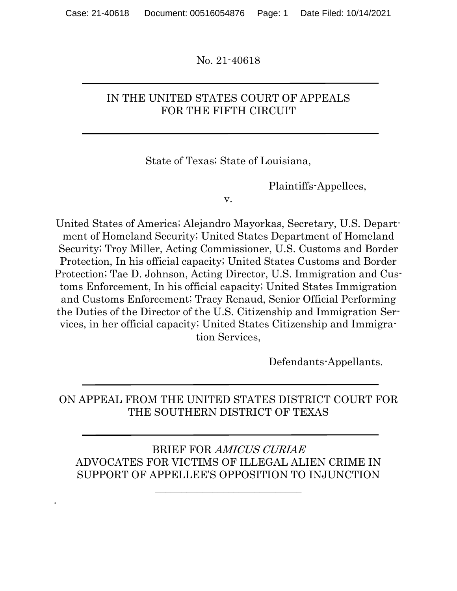No. 21-40618

### IN THE UNITED STATES COURT OF APPEALS FOR THE FIFTH CIRCUIT

State of Texas; State of Louisiana,

Plaintiffs-Appellees,

v.

United States of America; Alejandro Mayorkas, Secretary, U.S. Department of Homeland Security; United States Department of Homeland Security; Troy Miller, Acting Commissioner, U.S. Customs and Border Protection, In his official capacity; United States Customs and Border Protection; Tae D. Johnson, Acting Director, U.S. Immigration and Customs Enforcement, In his official capacity; United States Immigration and Customs Enforcement; Tracy Renaud, Senior Official Performing the Duties of the Director of the U.S. Citizenship and Immigration Services, in her official capacity; United States Citizenship and Immigration Services,

Defendants-Appellants.

# ON APPEAL FROM THE UNITED STATES DISTRICT COURT FOR THE SOUTHERN DISTRICT OF TEXAS

### BRIEF FOR AMICUS CURIAE ADVOCATES FOR VICTIMS OF ILLEGAL ALIEN CRIME IN SUPPORT OF APPELLEE'S OPPOSITION TO INJUNCTION

\_\_\_\_\_\_\_\_\_\_\_\_\_\_\_\_\_\_\_\_\_\_\_\_\_\_\_\_

.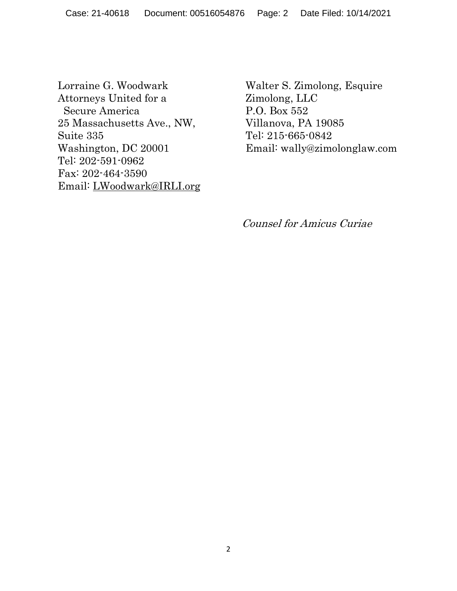Lorraine G. Woodwark Attorneys United for a Secure America 25 Massachusetts Ave., NW, Suite 335 Washington, DC 20001 Tel: 202-591-0962 Fax: 202-464-3590 Email: [LWoodwark@IRLI.org](about:blank) Walter S. Zimolong, Esquire Zimolong, LLC P.O. Box 552 Villanova, PA 19085 Tel: 215-665-0842 Email: wally@zimolonglaw.com

Counsel for Amicus Curiae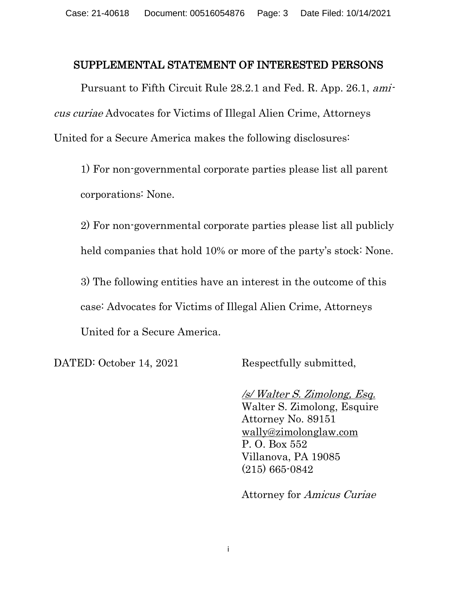#### SUPPLEMENTAL STATEMENT OF INTERESTED PERSONS

Pursuant to Fifth Circuit Rule 28.2.1 and Fed. R. App. 26.1, amicus curiae Advocates for Victims of Illegal Alien Crime, Attorneys United for a Secure America makes the following disclosures:

1) For non-governmental corporate parties please list all parent corporations: None.

2) For non-governmental corporate parties please list all publicly held companies that hold 10% or more of the party's stock: None.

3) The following entities have an interest in the outcome of this case: Advocates for Victims of Illegal Alien Crime, Attorneys United for a Secure America.

DATED: October 14, 2021 Respectfully submitted,

/s/ Walter S. Zimolong, Esq. Walter S. Zimolong, Esquire Attorney No. 89151 [wally@zimolonglaw.com](about:blank) P. O. Box 552 Villanova, PA 19085 (215) 665-0842

Attorney for Amicus Curiae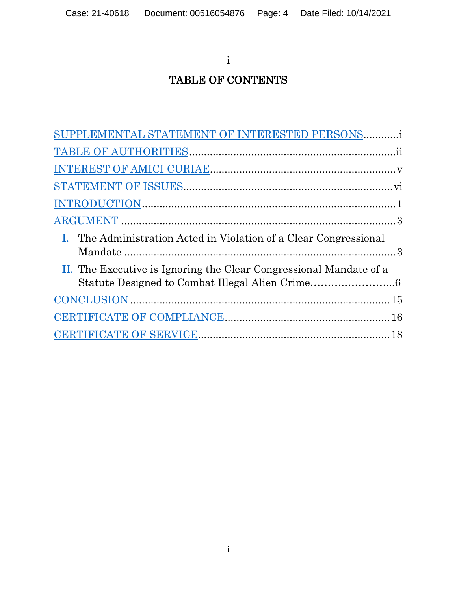i

# TABLE OF CONTENTS

| SUPPLEMENTAL STATEMENT OF INTERESTED PERSONSi                      |  |
|--------------------------------------------------------------------|--|
|                                                                    |  |
|                                                                    |  |
|                                                                    |  |
|                                                                    |  |
|                                                                    |  |
| I. The Administration Acted in Violation of a Clear Congressional  |  |
| II. The Executive is Ignoring the Clear Congressional Mandate of a |  |
|                                                                    |  |
|                                                                    |  |
|                                                                    |  |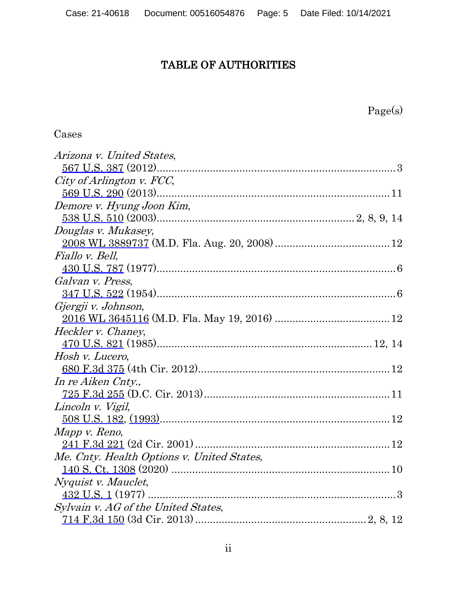# TABLE OF AUTHORITIES

Page(s)

# Cases

| Arizona v. United States,                  |  |
|--------------------------------------------|--|
|                                            |  |
| City of Arlington v. FCC,                  |  |
|                                            |  |
| Demore v. Hyung Joon Kim,                  |  |
|                                            |  |
| Douglas v. Mukasey,                        |  |
|                                            |  |
| Fiallo v. Bell,                            |  |
|                                            |  |
| Galvan v. Press,                           |  |
|                                            |  |
| Gjergji v. Johnson,                        |  |
|                                            |  |
| Heckler v. Chaney,                         |  |
|                                            |  |
| Hosh v. Lucero,                            |  |
|                                            |  |
| In re Aiken Cnty.,                         |  |
|                                            |  |
| Lincoln v. Vigil,                          |  |
|                                            |  |
| Mapp v. Reno,                              |  |
|                                            |  |
| Me. Cnty. Health Options v. United States, |  |
|                                            |  |
| <i>Nyquist v. Mauclet,</i>                 |  |
|                                            |  |
| Sylvain v. AG of the United States,        |  |
|                                            |  |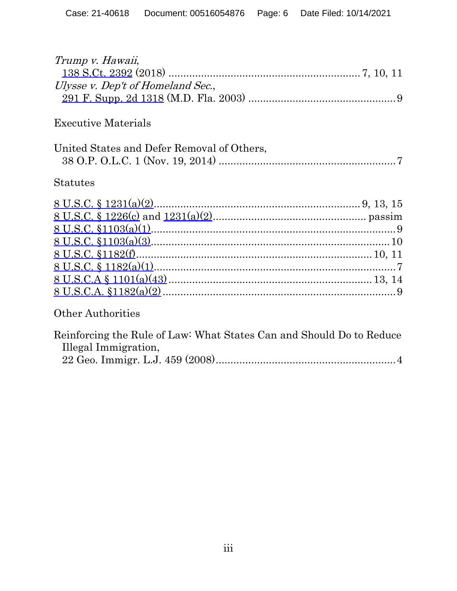| Trump v. Hawaii,                                                     |
|----------------------------------------------------------------------|
|                                                                      |
| Ulysse v. Dep't of Homeland Sec.,                                    |
|                                                                      |
| <b>Executive Materials</b>                                           |
| United States and Defer Removal of Others,                           |
|                                                                      |
| <b>Statutes</b>                                                      |
|                                                                      |
|                                                                      |
|                                                                      |
|                                                                      |
|                                                                      |
|                                                                      |
|                                                                      |
|                                                                      |
| <b>Other Authorities</b>                                             |
| Reinforcing the Rule of Law: What States Can and Should Do to Reduce |

| Illegal Immigration, |  |
|----------------------|--|
|                      |  |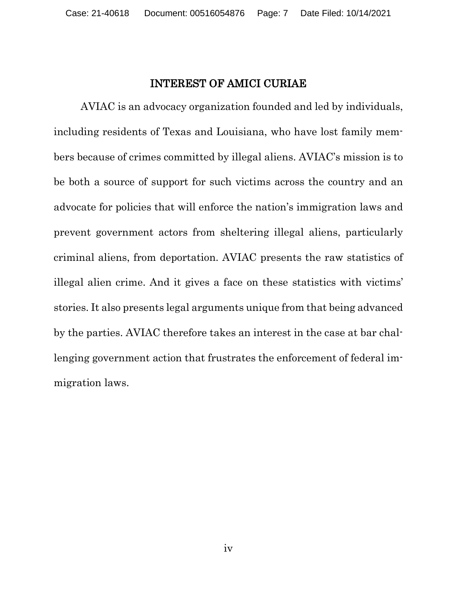### INTEREST OF AMICI CURIAE

AVIAC is an advocacy organization founded and led by individuals, including residents of Texas and Louisiana, who have lost family members because of crimes committed by illegal aliens. AVIAC's mission is to be both a source of support for such victims across the country and an advocate for policies that will enforce the nation's immigration laws and prevent government actors from sheltering illegal aliens, particularly criminal aliens, from deportation. AVIAC presents the raw statistics of illegal alien crime. And it gives a face on these statistics with victims' stories. It also presents legal arguments unique from that being advanced by the parties. AVIAC therefore takes an interest in the case at bar challenging government action that frustrates the enforcement of federal immigration laws.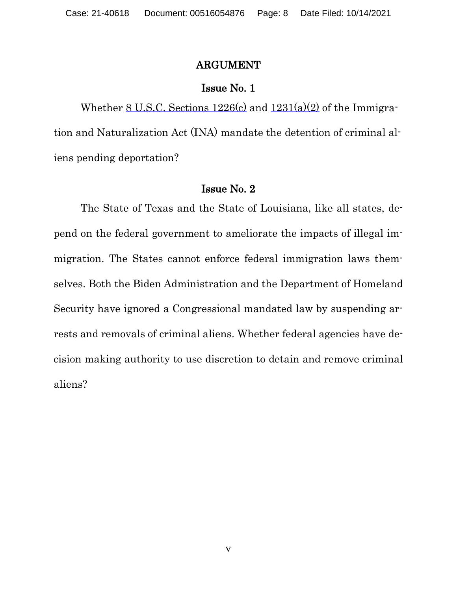#### ARGUMENT

#### Issue No. 1

Whether  $8$  U.S.C. Sections  $1226(c)$  and  $1231(a)(2)$  of the Immigration and Naturalization Act (INA) mandate the detention of criminal aliens pending deportation?

#### Issue No. 2

The State of Texas and the State of Louisiana, like all states, depend on the federal government to ameliorate the impacts of illegal immigration. The States cannot enforce federal immigration laws themselves. Both the Biden Administration and the Department of Homeland Security have ignored a Congressional mandated law by suspending arrests and removals of criminal aliens. Whether federal agencies have decision making authority to use discretion to detain and remove criminal aliens?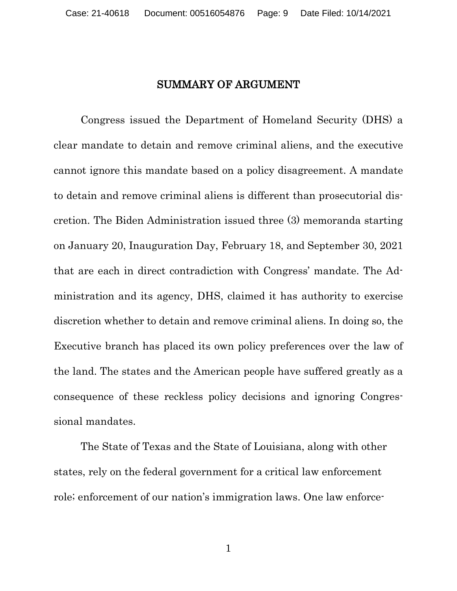### SUMMARY OF ARGUMENT

Congress issued the Department of Homeland Security (DHS) a clear mandate to detain and remove criminal aliens, and the executive cannot ignore this mandate based on a policy disagreement. A mandate to detain and remove criminal aliens is different than prosecutorial discretion. The Biden Administration issued three (3) memoranda starting on January 20, Inauguration Day, February 18, and September 30, 2021 that are each in direct contradiction with Congress' mandate. The Administration and its agency, DHS, claimed it has authority to exercise discretion whether to detain and remove criminal aliens. In doing so, the Executive branch has placed its own policy preferences over the law of the land. The states and the American people have suffered greatly as a consequence of these reckless policy decisions and ignoring Congressional mandates.

The State of Texas and the State of Louisiana, along with other states, rely on the federal government for a critical law enforcement role; enforcement of our nation's immigration laws. One law enforce-

1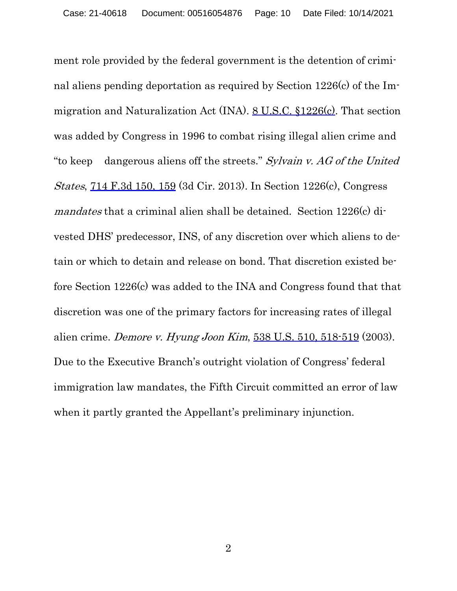ment role provided by the federal government is the detention of criminal aliens pending deportation as required by Section 1226(c) of the Immigration and Naturalization Act (INA). 8 U.S.C. §1226(c). That section was added by Congress in 1996 to combat rising illegal alien crime and "to keep dangerous aliens off the streets." Sylvain v. AG of the United States, 714 F.3d 150, 159 (3d Cir. 2013). In Section 1226(c), Congress mandates that a criminal alien shall be detained. Section 1226(c) divested DHS' predecessor, INS, of any discretion over which aliens to detain or which to detain and release on bond. That discretion existed before Section 1226(c) was added to the INA and Congress found that that discretion was one of the primary factors for increasing rates of illegal alien crime. Demore v. Hyung Joon Kim, 538 U.S. 510, 518-519 (2003). Due to the Executive Branch's outright violation of Congress' federal immigration law mandates, the Fifth Circuit committed an error of law when it partly granted the Appellant's preliminary injunction.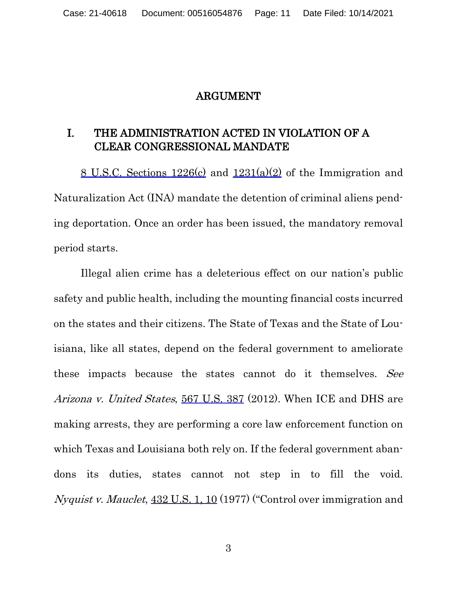#### ARGUMENT

# I. THE ADMINISTRATION ACTED IN VIOLATION OF A CLEAR CONGRESSIONAL MANDATE

8 U.S.C. Sections 1226(c) and 1231(a)(2) of the Immigration and Naturalization Act (INA) mandate the detention of criminal aliens pending deportation. Once an order has been issued, the mandatory removal period starts.

Illegal alien crime has a deleterious effect on our nation's public safety and public health, including the mounting financial costs incurred on the states and their citizens. The State of Texas and the State of Louisiana, like all states, depend on the federal government to ameliorate these impacts because the states cannot do it themselves. See Arizona v. United States, 567 U.S. 387 (2012). When ICE and DHS are making arrests, they are performing a core law enforcement function on which Texas and Louisiana both rely on. If the federal government abandons its duties, states cannot not step in to fill the void. Nyquist v. Mauclet,  $432$  U.S. 1, 10 (1977) ("Control over immigration and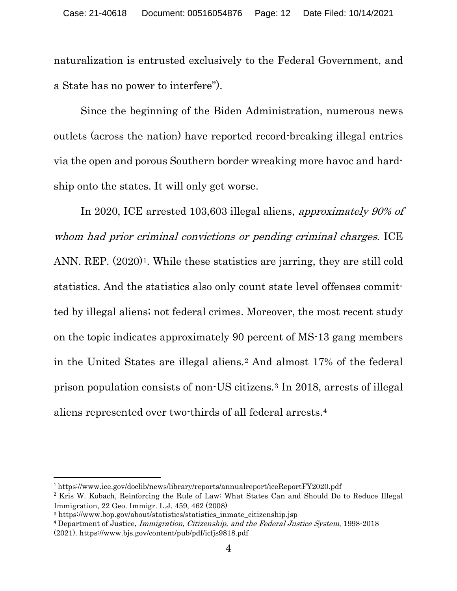naturalization is entrusted exclusively to the Federal Government, and a State has no power to interfere").

Since the beginning of the Biden Administration, numerous news outlets (across the nation) have reported record-breaking illegal entries via the open and porous Southern border wreaking more havoc and hardship onto the states. It will only get worse.

In 2020, ICE arrested 103,603 illegal aliens, approximately 90% of whom had prior criminal convictions or pending criminal charges. ICE ANN. REP.  $(2020)^1$ . While these statistics are jarring, they are still cold statistics. And the statistics also only count state level offenses committed by illegal aliens; not federal crimes. Moreover, the most recent study on the topic indicates approximately 90 percent of MS-13 gang members in the United States are illegal aliens.[2](#page-11-1) And almost 17% of the federal prison population consists of non-US citizens.[3](#page-11-2) In 2018, arrests of illegal aliens represented over two-thirds of all federal arrests.[4](#page-11-3)

<span id="page-11-0"></span><sup>1</sup> https://www.ice.gov/doclib/news/library/reports/annualreport/iceReportFY2020.pdf

<span id="page-11-1"></span><sup>&</sup>lt;sup>2</sup> Kris W. Kobach, Reinforcing the Rule of Law: What States Can and Should Do to Reduce Illegal Immigration, 22 Geo. Immigr. L.J. 459, 462 (2008)

<span id="page-11-2"></span><sup>&</sup>lt;sup>3</sup> https://www.bop.gov/about/statistics/statistics\_inmate\_citizenship.jsp

<span id="page-11-3"></span><sup>&</sup>lt;sup>4</sup> Department of Justice, *Immigration, Citizenship, and the Federal Justice System*, 1998-2018 (2021). https://www.bjs.gov/content/pub/pdf/icfjs9818.pdf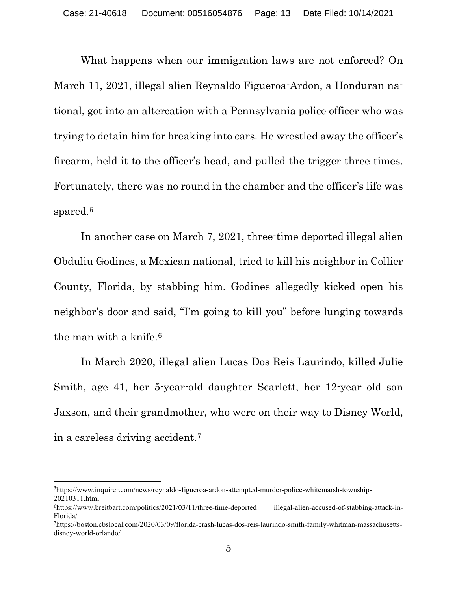What happens when our immigration laws are not enforced? On March 11, 2021, illegal alien Reynaldo Figueroa-Ardon, a Honduran national, got into an altercation with a Pennsylvania police officer who was trying to detain him for breaking into cars. He wrestled away the officer's firearm, held it to the officer's head, and pulled the trigger three times. Fortunately, there was no round in the chamber and the officer's life was spared.<sup>[5](#page-12-0)</sup>

In another case on March 7, 2021, three-time deported illegal alien Obduliu Godines, a Mexican national, tried to kill his neighbor in Collier County, Florida, by stabbing him. Godines allegedly kicked open his neighbor's door and said, "I'm going to kill you" before lunging towards the man with a knife.<sup>6</sup>

In March 2020, illegal alien Lucas Dos Reis Laurindo, killed Julie Smith, age 41, her 5-year-old daughter Scarlett, her 12-year old son Jaxson, and their grandmother, who were on their way to Disney World, in a careless driving accident.[7](#page-12-2) 

<span id="page-12-0"></span><sup>5</sup> [https://www.inquirer.com/news/reynaldo-figueroa-ardon-attempted-murder-police-whitemarsh-township-](about:blank)[20210311.html](about:blank) 

<span id="page-12-1"></span><sup>6</sup>[https://www.breitbart.com/politics/2021/03/11/three-time-deported](https://www.breitbart.com/politics/2021/03/11/three-time-deported%20illegal-alien-accused-of-stabbing-attack-in-Florida/) illegal-alien-accused-of-stabbing-attack-in-[Florida/](https://www.breitbart.com/politics/2021/03/11/three-time-deported%20illegal-alien-accused-of-stabbing-attack-in-Florida/)

<span id="page-12-2"></span><sup>7</sup> [https://boston.cbslocal.com/2020/03/09/florida-crash-lucas-dos-reis-laurindo-smith-family-whitman-massachusetts](about:blank)[disney-world-orlando/](about:blank)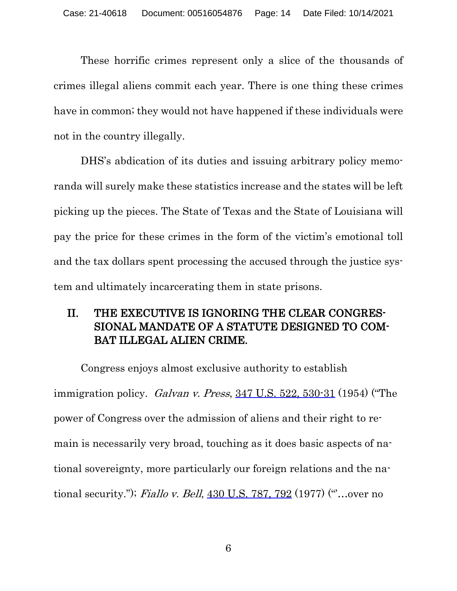These horrific crimes represent only a slice of the thousands of crimes illegal aliens commit each year. There is one thing these crimes have in common; they would not have happened if these individuals were not in the country illegally.

DHS's abdication of its duties and issuing arbitrary policy memoranda will surely make these statistics increase and the states will be left picking up the pieces. The State of Texas and the State of Louisiana will pay the price for these crimes in the form of the victim's emotional toll and the tax dollars spent processing the accused through the justice system and ultimately incarcerating them in state prisons.

# II. THE EXECUTIVE IS IGNORING THE CLEAR CONGRES-SIONAL MANDATE OF A STATUTE DESIGNED TO COM-BAT ILLEGAL ALIEN CRIME.

Congress enjoys almost exclusive authority to establish immigration policy. Galvan v. Press,  $347$  U.S.  $522$ ,  $530-31$  (1954) ("The power of Congress over the admission of aliens and their right to remain is necessarily very broad, touching as it does basic aspects of national sovereignty, more particularly our foreign relations and the national security."); *Fiallo v. Bell*, 430 U.S. 787, 792 (1977) ("...over no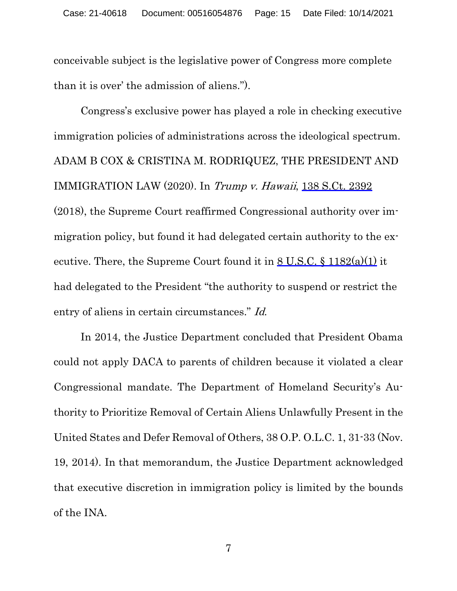conceivable subject is the legislative power of Congress more complete than it is over' the admission of aliens.").

Congress's exclusive power has played a role in checking executive immigration policies of administrations across the ideological spectrum. ADAM B COX & CRISTINA M. RODRIQUEZ, THE PRESIDENT AND IMMIGRATION LAW (2020). In Trump v. Hawaii, 138 S.Ct. 2392 (2018), the Supreme Court reaffirmed Congressional authority over immigration policy, but found it had delegated certain authority to the executive. There, the Supreme Court found it in  $8 \text{ U.S.C.} \$   $1182(a)(1)$  it had delegated to the President "the authority to suspend or restrict the entry of aliens in certain circumstances." Id.

In 2014, the Justice Department concluded that President Obama could not apply DACA to parents of children because it violated a clear Congressional mandate. The Department of Homeland Security's Authority to Prioritize Removal of Certain Aliens Unlawfully Present in the United States and Defer Removal of Others, 38 O.P. O.L.C. 1, 31-33 (Nov. 19, 2014). In that memorandum, the Justice Department acknowledged that executive discretion in immigration policy is limited by the bounds of the INA.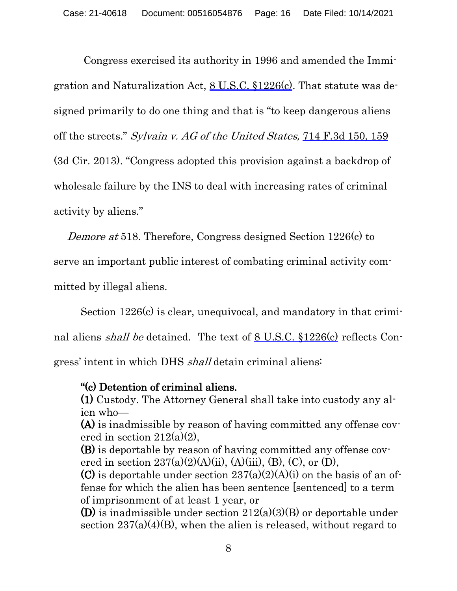Congress exercised its authority in 1996 and amended the Immigration and Naturalization Act, 8 U.S.C. §1226(c). That statute was designed primarily to do one thing and that is "to keep dangerous aliens off the streets." Sylvain v. AG of the United States, 714 F.3d 150, 159 (3d Cir. 2013). "Congress adopted this provision against a backdrop of wholesale failure by the INS to deal with increasing rates of criminal activity by aliens."

Demore at 518. Therefore, Congress designed Section 1226(c) to

serve an important public interest of combating criminal activity com-

mitted by illegal aliens.

Section 1226(c) is clear, unequivocal, and mandatory in that criminal aliens shall be detained. The text of 8 U.S.C. §1226(c) reflects Congress' intent in which DHS shall detain criminal aliens:

# "(c) Detention of criminal aliens.

(1) Custody. The Attorney General shall take into custody any alien who—

(A) is inadmissible by reason of having committed any offense covered in section  $212(a)(2)$ ,

(B) is deportable by reason of having committed any offense covered in section  $237(a)(2)(A)(ii)$ ,  $(A)(iii)$ ,  $(B)$ ,  $(C)$ , or  $(D)$ ,

(C) is deportable under section  $237(a)(2)(A)(i)$  on the basis of an offense for which the alien has been sentence [sentenced] to a term of imprisonment of at least 1 year, or

(D) is inadmissible under section  $212(a)(3)(B)$  or deportable under section  $237(a)(4)(B)$ , when the alien is released, without regard to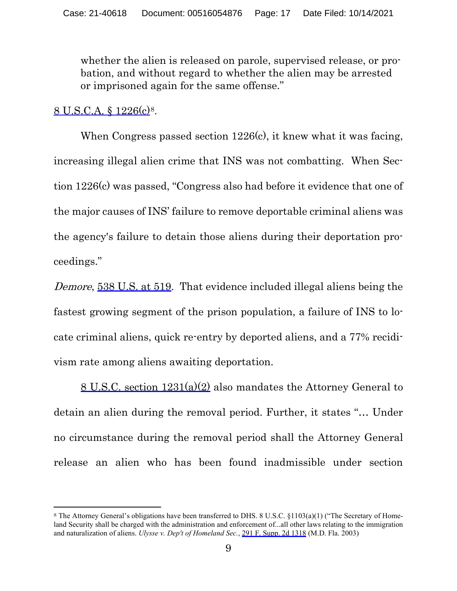whether the alien is released on parole, supervised release, or probation, and without regard to whether the alien may be arrested or imprisoned again for the same offense."

### 8 U.S.C.A. § 1226(c)[8.](#page-16-0)

When Congress passed section 1226(c), it knew what it was facing, increasing illegal alien crime that INS was not combatting. When Section 1226(c) was passed, "Congress also had before it evidence that one of the major causes of INS' failure to remove deportable criminal aliens was the agency's failure to detain those aliens during their deportation proceedings."

Demore, 538 U.S. at 519. That evidence included illegal aliens being the fastest growing segment of the prison population, a failure of INS to locate criminal aliens, quick re-entry by deported aliens, and a 77% recidivism rate among aliens awaiting deportation.

8 U.S.C. section 1231(a)(2) also mandates the Attorney General to detain an alien during the removal period. Further, it states "… Under no circumstance during the removal period shall the Attorney General release an alien who has been found inadmissible under section

<span id="page-16-0"></span><sup>8</sup> The Attorney General's obligations have been transferred to DHS. 8 U.S.C. §1103(a)(1) ("The Secretary of Homeland Security shall be charged with the administration and enforcement of...all other laws relating to the immigration and naturalization of aliens. *Ulysse v. Dep't of Homeland Sec.*, 291 F. Supp. 2d 1318 (M.D. Fla. 2003)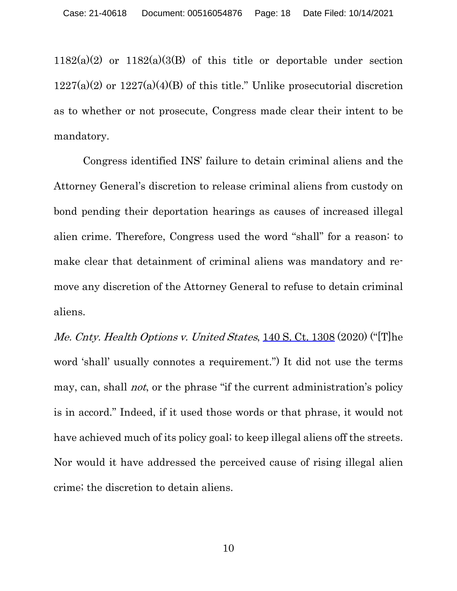$1182(a)(2)$  or  $1182(a)(3(b)$  of this title or deportable under section  $1227(a)(2)$  or  $1227(a)(4)(B)$  of this title." Unlike prosecutorial discretion as to whether or not prosecute, Congress made clear their intent to be mandatory.

Congress identified INS' failure to detain criminal aliens and the Attorney General's discretion to release criminal aliens from custody on bond pending their deportation hearings as causes of increased illegal alien crime. Therefore, Congress used the word "shall" for a reason: to make clear that detainment of criminal aliens was mandatory and remove any discretion of the Attorney General to refuse to detain criminal aliens.

Me. Cnty. Health Options v. United States, 140 S. Ct. 1308 (2020) ("[T]he word 'shall' usually connotes a requirement.") It did not use the terms may, can, shall *not*, or the phrase "if the current administration's policy is in accord." Indeed, if it used those words or that phrase, it would not have achieved much of its policy goal; to keep illegal aliens off the streets. Nor would it have addressed the perceived cause of rising illegal alien crime; the discretion to detain aliens.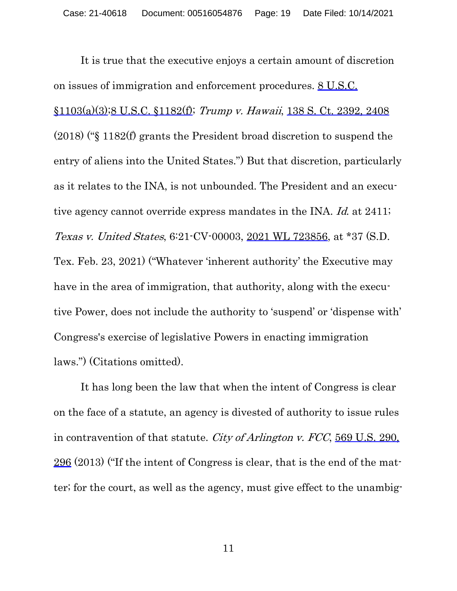It is true that the executive enjoys a certain amount of discretion on issues of immigration and enforcement procedures. 8 U.S.C. §1103(a)(3);8 U.S.C. §1182(f); Trump v. Hawaii, 138 S. Ct. 2392, 2408 (2018) ("§ 1182(f) grants the President broad discretion to suspend the entry of aliens into the United States.") But that discretion, particularly as it relates to the INA, is not unbounded. The President and an executive agency cannot override express mandates in the INA. Id. at 2411; Texas v. United States, 6:21-CV-00003, 2021 WL 723856, at \*37 (S.D. Tex. Feb. 23, 2021) ("Whatever 'inherent authority' the Executive may have in the area of immigration, that authority, along with the executive Power, does not include the authority to 'suspend' or 'dispense with' Congress's exercise of legislative Powers in enacting immigration laws.") (Citations omitted).

It has long been the law that when the intent of Congress is clear on the face of a statute, an agency is divested of authority to issue rules in contravention of that statute. City of Arlington v. FCC, 569 U.S. 290, 296 (2013) ("If the intent of Congress is clear, that is the end of the matter; for the court, as well as the agency, must give effect to the unambig-

11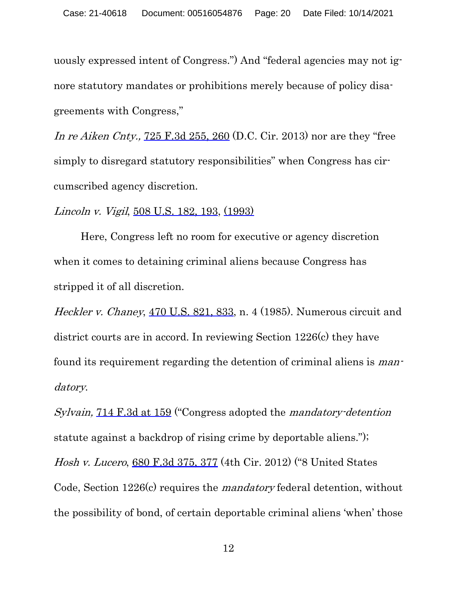uously expressed intent of Congress.") And "federal agencies may not ignore statutory mandates or prohibitions merely because of policy disagreements with Congress,"

In re Aiken Cnty., 725 F.3d 255, 260 (D.C. Cir. 2013) nor are they "free simply to disregard statutory responsibilities" when Congress has circumscribed agency discretion.

Lincoln v. Vigil, 508 U.S. 182, 193, (1993)

Here, Congress left no room for executive or agency discretion when it comes to detaining criminal aliens because Congress has stripped it of all discretion.

Heckler v. Chaney, 470 U.S. 821, 833, n. 4 (1985). Numerous circuit and district courts are in accord. In reviewing Section 1226(c) they have found its requirement regarding the detention of criminal aliens is mandatory.

Sylvain, 714 F.3d at 159 ("Congress adopted the mandatory-detention statute against a backdrop of rising crime by deportable aliens."); Hosh v. Lucero, 680 F.3d 375, 377 (4th Cir. 2012) ("8 United States Code, Section 1226(c) requires the mandatory federal detention, without the possibility of bond, of certain deportable criminal aliens 'when' those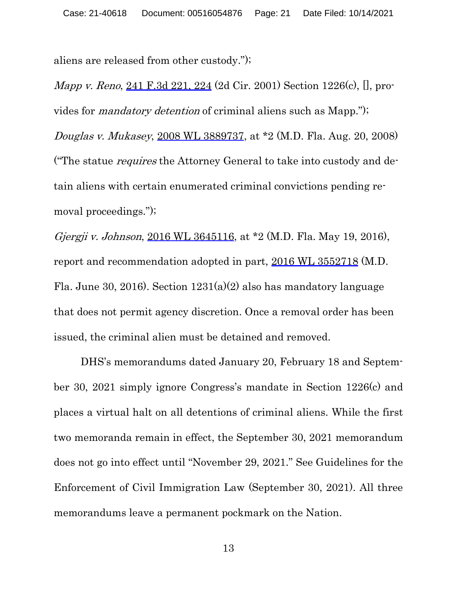aliens are released from other custody.");

Mapp v. Reno, 241 F.3d 221, 224 (2d Cir. 2001) Section 1226(c), [], provides for mandatory detention of criminal aliens such as Mapp."); Douglas v. Mukasey, 2008 WL 3889737, at \*2 (M.D. Fla. Aug. 20, 2008) ("The statue requires the Attorney General to take into custody and detain aliens with certain enumerated criminal convictions pending removal proceedings.");

Gjergji v. Johnson, 2016 WL 3645116, at \*2 (M.D. Fla. May 19, 2016), report and recommendation adopted in part, 2016 WL 3552718 (M.D. Fla. June 30, 2016). Section  $1231(a)(2)$  also has mandatory language that does not permit agency discretion. Once a removal order has been issued, the criminal alien must be detained and removed.

DHS's memorandums dated January 20, February 18 and September 30, 2021 simply ignore Congress's mandate in Section 1226(c) and places a virtual halt on all detentions of criminal aliens. While the first two memoranda remain in effect, the September 30, 2021 memorandum does not go into effect until "November 29, 2021." See Guidelines for the Enforcement of Civil Immigration Law (September 30, 2021). All three memorandums leave a permanent pockmark on the Nation.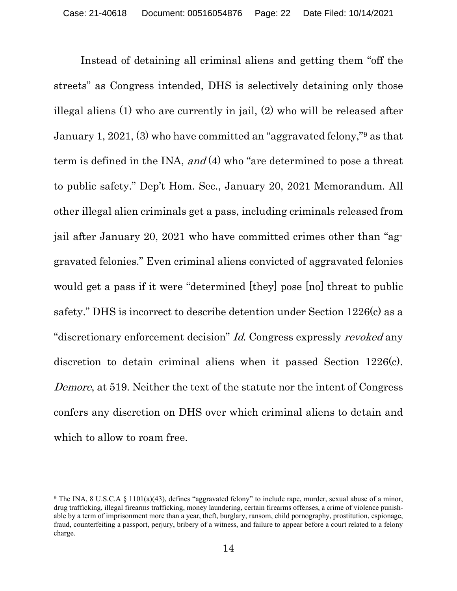Instead of detaining all criminal aliens and getting them "off the streets" as Congress intended, DHS is selectively detaining only those illegal aliens (1) who are currently in jail, (2) who will be released after January 1, 2021, (3) who have committed an "aggravated felony,"[9](#page-21-0) as that term is defined in the INA, and  $(4)$  who "are determined to pose a threat to public safety." Dep't Hom. Sec., January 20, 2021 Memorandum. All other illegal alien criminals get a pass, including criminals released from jail after January 20, 2021 who have committed crimes other than "aggravated felonies." Even criminal aliens convicted of aggravated felonies would get a pass if it were "determined [they] pose [no] threat to public safety." DHS is incorrect to describe detention under Section 1226(c) as a "discretionary enforcement decision" Id. Congress expressly revoked any discretion to detain criminal aliens when it passed Section 1226(c). Demore, at 519. Neither the text of the statute nor the intent of Congress confers any discretion on DHS over which criminal aliens to detain and which to allow to roam free.

<span id="page-21-0"></span><sup>9</sup> The INA, 8 U.S.C.A § 1101(a)(43), defines "aggravated felony" to include rape, murder, sexual abuse of a minor, drug trafficking, illegal firearms trafficking, money laundering, certain firearms offenses, a crime of violence punishable by a term of imprisonment more than a year, theft, burglary, ransom, child pornography, prostitution, espionage, fraud, counterfeiting a passport, perjury, bribery of a witness, and failure to appear before a court related to a felony charge.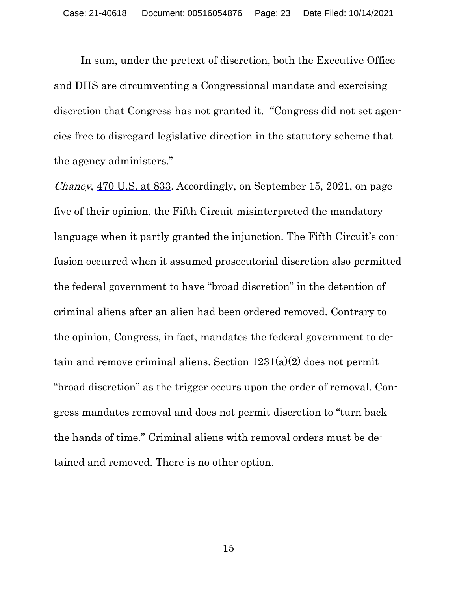In sum, under the pretext of discretion, both the Executive Office and DHS are circumventing a Congressional mandate and exercising discretion that Congress has not granted it. "Congress did not set agencies free to disregard legislative direction in the statutory scheme that the agency administers."

Chaney, 470 U.S. at 833. Accordingly, on September 15, 2021, on page five of their opinion, the Fifth Circuit misinterpreted the mandatory language when it partly granted the injunction. The Fifth Circuit's confusion occurred when it assumed prosecutorial discretion also permitted the federal government to have "broad discretion" in the detention of criminal aliens after an alien had been ordered removed. Contrary to the opinion, Congress, in fact, mandates the federal government to detain and remove criminal aliens. Section 1231(a)(2) does not permit "broad discretion" as the trigger occurs upon the order of removal. Congress mandates removal and does not permit discretion to "turn back the hands of time." Criminal aliens with removal orders must be detained and removed. There is no other option.

15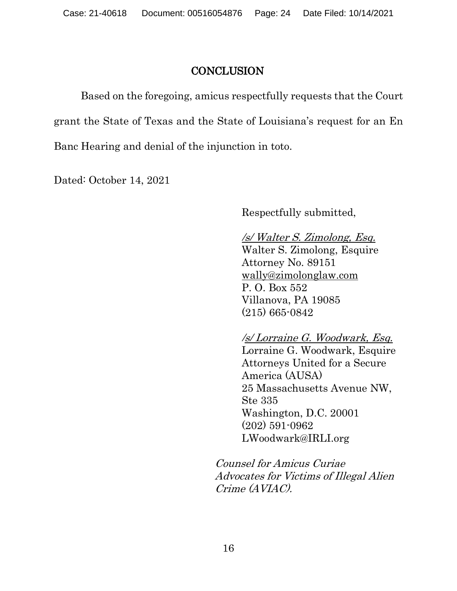### **CONCLUSION**

Based on the foregoing, amicus respectfully requests that the Court grant the State of Texas and the State of Louisiana's request for an En Banc Hearing and denial of the injunction in toto.

Dated: October 14, 2021

Respectfully submitted,

/s/ Walter S. Zimolong, Esq. Walter S. Zimolong, Esquire Attorney No. 89151 [wally@zimolonglaw.com](about:blank) P. O. Box 552 Villanova, PA 19085 (215) 665-0842

/s/ Lorraine G. Woodwark, Esq. Lorraine G. Woodwark, Esquire Attorneys United for a Secure America (AUSA) 25 Massachusetts Avenue NW, Ste 335 Washington, D.C. 20001 (202) 591-0962 LWoodwark@IRLI.org

Counsel for Amicus Curiae Advocates for Victims of Illegal Alien Crime (AVIAC).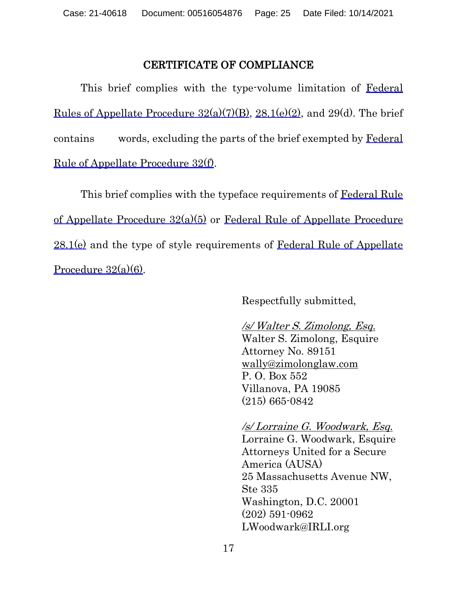### CERTIFICATE OF COMPLIANCE

This brief complies with the type-volume limitation of Federal Rules of Appellate Procedure  $32(a)(7)(B)$ ,  $28.1(e)(2)$ , and  $29(d)$ . The brief contains words, excluding the parts of the brief exempted by Federal Rule of Appellate Procedure 32(f).

This brief complies with the typeface requirements of Federal Rule of Appellate Procedure 32(a)(5) or Federal Rule of Appellate Procedure  $28.1(e)$  and the type of style requirements of Federal Rule of Appellate Procedure 32(a)(6).

Respectfully submitted,

## /s/ Walter S. Zimolong, Esq.

Walter S. Zimolong, Esquire Attorney No. 89151 [wally@zimolonglaw.com](about:blank) P. O. Box 552 Villanova, PA 19085 (215) 665-0842

### /s/ Lorraine G. Woodwark, Esq. Lorraine G. Woodwark, Esquire Attorneys United for a Secure America (AUSA) 25 Massachusetts Avenue NW, Ste 335 Washington, D.C. 20001 (202) 591-0962 LWoodwark@IRLI.org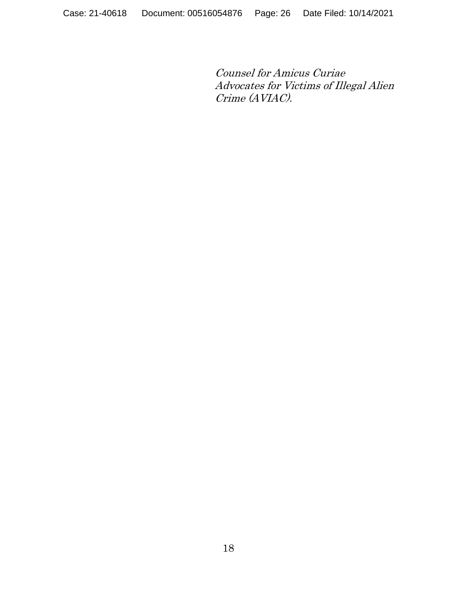Counsel for Amicus Curiae Advocates for Victims of Illegal Alien Crime (AVIAC).